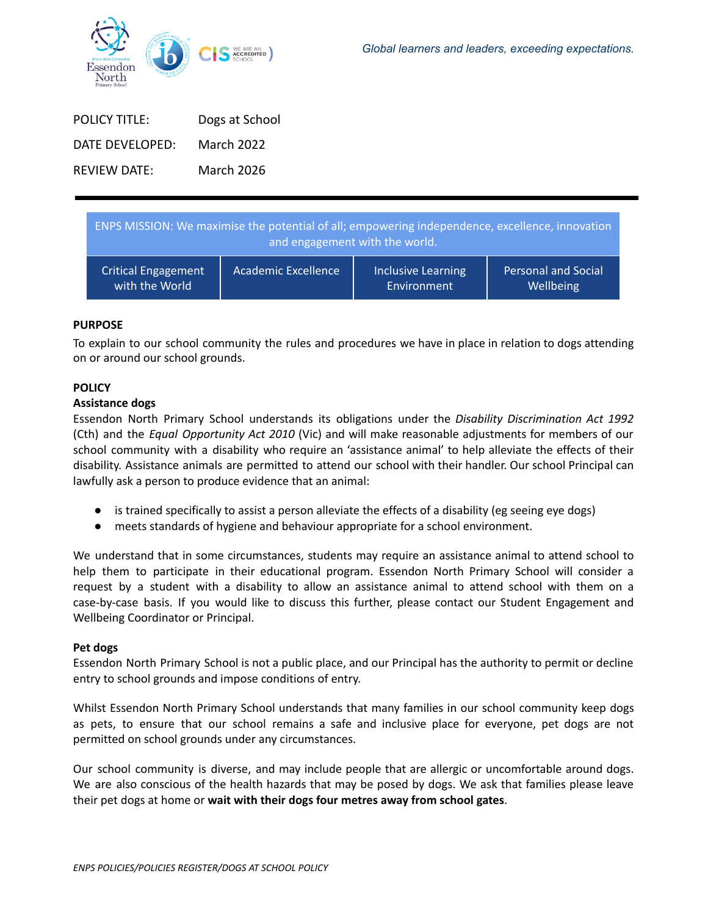

| <b>POLICY TITLE:</b> | Dogs at School |
|----------------------|----------------|
| DATE DEVELOPED:      | March 2022     |
| <b>REVIEW DATE:</b>  | March 2026     |

| ENPS MISSION: We maximise the potential of all; empowering independence, excellence, innovation<br>and engagement with the world. |                            |                           |                            |
|-----------------------------------------------------------------------------------------------------------------------------------|----------------------------|---------------------------|----------------------------|
| <b>Critical Engagement</b>                                                                                                        | <b>Academic Excellence</b> | <b>Inclusive Learning</b> | <b>Personal and Social</b> |
| with the World                                                                                                                    |                            | Environment               | Wellbeing                  |

## **PURPOSE**

To explain to our school community the rules and procedures we have in place in relation to dogs attending on or around our school grounds.

### **POLICY**

#### **Assistance dogs**

Essendon North Primary School understands its obligations under the *Disability Discrimination Act 1992* (Cth) and the *Equal Opportunity Act 2010* (Vic) and will make reasonable adjustments for members of our school community with a disability who require an 'assistance animal' to help alleviate the effects of their disability. Assistance animals are permitted to attend our school with their handler. Our school Principal can lawfully ask a person to produce evidence that an animal:

- is trained specifically to assist a person alleviate the effects of a disability (eg seeing eye dogs)
- meets standards of hygiene and behaviour appropriate for a school environment.

We understand that in some circumstances, students may require an assistance animal to attend school to help them to participate in their educational program. Essendon North Primary School will consider a request by a student with a disability to allow an assistance animal to attend school with them on a case-by-case basis. If you would like to discuss this further, please contact our Student Engagement and Wellbeing Coordinator or Principal.

### **Pet dogs**

Essendon North Primary School is not a public place, and our Principal has the authority to permit or decline entry to school grounds and impose conditions of entry.

Whilst Essendon North Primary School understands that many families in our school community keep dogs as pets, to ensure that our school remains a safe and inclusive place for everyone, pet dogs are not permitted on school grounds under any circumstances.

Our school community is diverse, and may include people that are allergic or uncomfortable around dogs. We are also conscious of the health hazards that may be posed by dogs. We ask that families please leave their pet dogs at home or **wait with their dogs four metres away from school gates**.